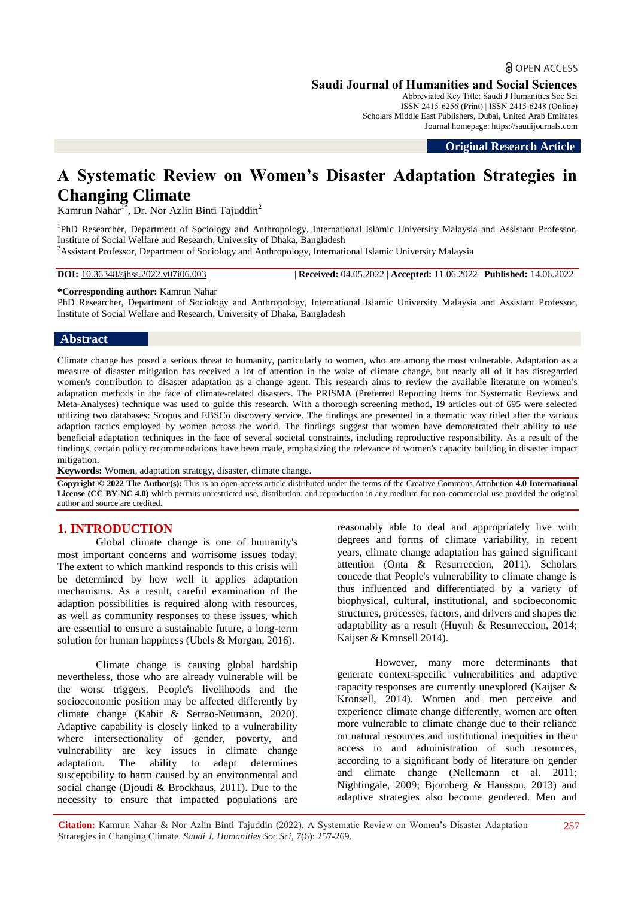a OPEN ACCESS

Abbreviated Key Title: Saudi J Humanities Soc Sci ISSN 2415-6256 (Print) | ISSN 2415-6248 (Online) Scholars Middle East Publishers, Dubai, United Arab Emirates Journal homepage: https://saudijournals.com

**Original Research Article**

# **A Systematic Review on Women's Disaster Adaptation Strategies in Changing Climate**

Kamrun Nahar<sup>1\*</sup>, Dr. Nor Azlin Binti Tajuddin<sup>2</sup>

<sup>1</sup>PhD Researcher, Department of Sociology and Anthropology, International Islamic University Malaysia and Assistant Professor, Institute of Social Welfare and Research, University of Dhaka, Bangladesh

<sup>2</sup>Assistant Professor, Department of Sociology and Anthropology, International Islamic University Malaysia

**DOI:** 10.36348/sjhss.2022.v07i06.003 | **Received:** 04.05.2022 | **Accepted:** 11.06.2022 | **Published:** 14.06.2022

# **\*Corresponding author:** Kamrun Nahar

PhD Researcher, Department of Sociology and Anthropology, International Islamic University Malaysia and Assistant Professor, Institute of Social Welfare and Research, University of Dhaka, Bangladesh

#### **Abstract**

Climate change has posed a serious threat to humanity, particularly to women, who are among the most vulnerable. Adaptation as a measure of disaster mitigation has received a lot of attention in the wake of climate change, but nearly all of it has disregarded women's contribution to disaster adaptation as a change agent. This research aims to review the available literature on women's adaptation methods in the face of climate-related disasters. The PRISMA (Preferred Reporting Items for Systematic Reviews and Meta-Analyses) technique was used to guide this research. With a thorough screening method, 19 articles out of 695 were selected utilizing two databases: Scopus and EBSCo discovery service. The findings are presented in a thematic way titled after the various adaption tactics employed by women across the world. The findings suggest that women have demonstrated their ability to use beneficial adaptation techniques in the face of several societal constraints, including reproductive responsibility. As a result of the findings, certain policy recommendations have been made, emphasizing the relevance of women's capacity building in disaster impact mitigation.

**Keywords:** Women, adaptation strategy, disaster, climate change.

**Copyright © 2022 The Author(s):** This is an open-access article distributed under the terms of the Creative Commons Attribution **4.0 International License (CC BY-NC 4.0)** which permits unrestricted use, distribution, and reproduction in any medium for non-commercial use provided the original author and source are credited.

#### **1. INTRODUCTION**

Global climate change is one of humanity's most important concerns and worrisome issues today. The extent to which mankind responds to this crisis will be determined by how well it applies adaptation mechanisms. As a result, careful examination of the adaption possibilities is required along with resources, as well as community responses to these issues, which are essential to ensure a sustainable future, a long-term solution for human happiness (Ubels & Morgan, 2016).

Climate change is causing global hardship nevertheless, those who are already vulnerable will be the worst triggers. People's livelihoods and the socioeconomic position may be affected differently by climate change (Kabir & Serrao-Neumann, 2020). Adaptive capability is closely linked to a vulnerability where intersectionality of gender, poverty, and vulnerability are key issues in climate change adaptation. The ability to adapt determines susceptibility to harm caused by an environmental and social change (Djoudi & Brockhaus, 2011). Due to the necessity to ensure that impacted populations are reasonably able to deal and appropriately live with degrees and forms of climate variability, in recent years, climate change adaptation has gained significant attention (Onta & Resurreccion, 2011). Scholars concede that People's vulnerability to climate change is thus influenced and differentiated by a variety of biophysical, cultural, institutional, and socioeconomic structures, processes, factors, and drivers and shapes the adaptability as a result (Huynh & Resurreccion, 2014; Kaijser & Kronsell 2014).

However, many more determinants that generate context-specific vulnerabilities and adaptive capacity responses are currently unexplored (Kaijser & Kronsell, 2014). Women and men perceive and experience climate change differently, women are often more vulnerable to climate change due to their reliance on natural resources and institutional inequities in their access to and administration of such resources, according to a significant body of literature on gender and climate change (Nellemann et al. 2011; Nightingale, 2009; Bjornberg & Hansson, 2013) and adaptive strategies also become gendered. Men and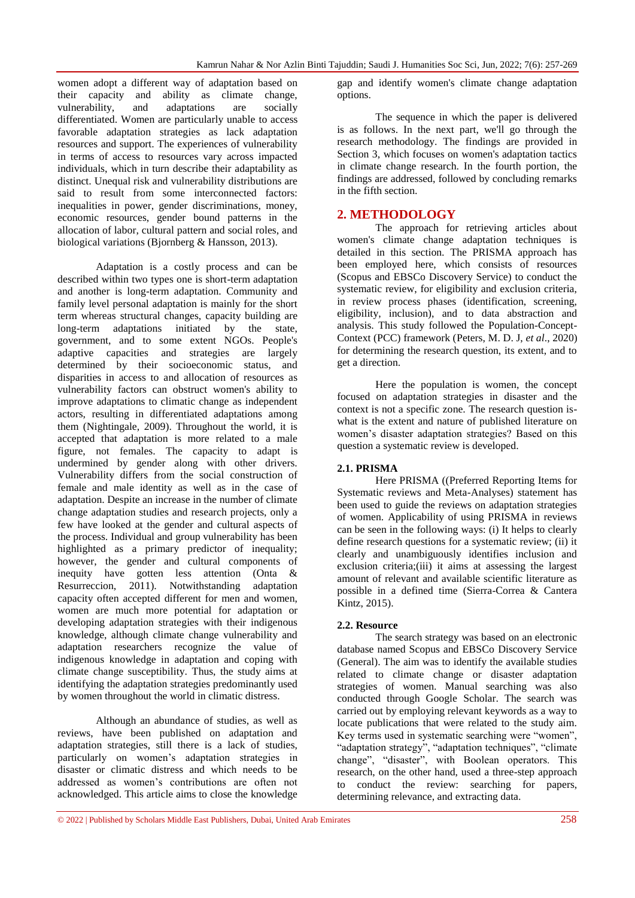women adopt a different way of adaptation based on their capacity and ability as climate change, vulnerability, and adaptations are socially differentiated. Women are particularly unable to access favorable adaptation strategies as lack adaptation resources and support. The experiences of vulnerability in terms of access to resources vary across impacted individuals, which in turn describe their adaptability as distinct. Unequal risk and vulnerability distributions are said to result from some interconnected factors: inequalities in power, gender discriminations, money, economic resources, gender bound patterns in the allocation of labor, cultural pattern and social roles, and biological variations (Bjornberg & Hansson, 2013).

Adaptation is a costly process and can be described within two types one is short-term adaptation and another is long-term adaptation. Community and family level personal adaptation is mainly for the short term whereas structural changes, capacity building are long-term adaptations initiated by the state, government, and to some extent NGOs. People's adaptive capacities and strategies are largely determined by their socioeconomic status, and disparities in access to and allocation of resources as vulnerability factors can obstruct women's ability to improve adaptations to climatic change as independent actors, resulting in differentiated adaptations among them (Nightingale, 2009). Throughout the world, it is accepted that adaptation is more related to a male figure, not females. The capacity to adapt is undermined by gender along with other drivers. Vulnerability differs from the social construction of female and male identity as well as in the case of adaptation. Despite an increase in the number of climate change adaptation studies and research projects, only a few have looked at the gender and cultural aspects of the process. Individual and group vulnerability has been highlighted as a primary predictor of inequality; however, the gender and cultural components of inequity have gotten less attention (Onta & Resurreccion, 2011). Notwithstanding adaptation capacity often accepted different for men and women, women are much more potential for adaptation or developing adaptation strategies with their indigenous knowledge, although climate change vulnerability and adaptation researchers recognize the value of indigenous knowledge in adaptation and coping with climate change susceptibility. Thus, the study aims at identifying the adaptation strategies predominantly used by women throughout the world in climatic distress.

Although an abundance of studies, as well as reviews, have been published on adaptation and adaptation strategies, still there is a lack of studies, particularly on women's adaptation strategies in disaster or climatic distress and which needs to be addressed as women's contributions are often not acknowledged. This article aims to close the knowledge

gap and identify women's climate change adaptation options.

The sequence in which the paper is delivered is as follows. In the next part, we'll go through the research methodology. The findings are provided in Section 3, which focuses on women's adaptation tactics in climate change research. In the fourth portion, the findings are addressed, followed by concluding remarks in the fifth section.

### **2. METHODOLOGY**

The approach for retrieving articles about women's climate change adaptation techniques is detailed in this section. The PRISMA approach has been employed here, which consists of resources (Scopus and EBSCo Discovery Service) to conduct the systematic review, for eligibility and exclusion criteria, in review process phases (identification, screening, eligibility, inclusion), and to data abstraction and analysis. This study followed the Population-Concept-Context (PCC) framework (Peters, M. D. J, *et al*., 2020) for determining the research question, its extent, and to get a direction.

Here the population is women, the concept focused on adaptation strategies in disaster and the context is not a specific zone. The research question iswhat is the extent and nature of published literature on women's disaster adaptation strategies? Based on this question a systematic review is developed.

#### **2.1. PRISMA**

Here PRISMA ((Preferred Reporting Items for Systematic reviews and Meta-Analyses) statement has been used to guide the reviews on adaptation strategies of women. Applicability of using PRISMA in reviews can be seen in the following ways: (i) It helps to clearly define research questions for a systematic review; (ii) it clearly and unambiguously identifies inclusion and exclusion criteria;(iii) it aims at assessing the largest amount of relevant and available scientific literature as possible in a defined time (Sierra-Correa & Cantera Kintz, 2015).

#### **2.2. Resource**

The search strategy was based on an electronic database named Scopus and EBSCo Discovery Service (General). The aim was to identify the available studies related to climate change or disaster adaptation strategies of women. Manual searching was also conducted through Google Scholar. The search was carried out by employing relevant keywords as a way to locate publications that were related to the study aim. Key terms used in systematic searching were "women", "adaptation strategy", "adaptation techniques", "climate change", "disaster", with Boolean operators. This research, on the other hand, used a three-step approach to conduct the review: searching for papers, determining relevance, and extracting data.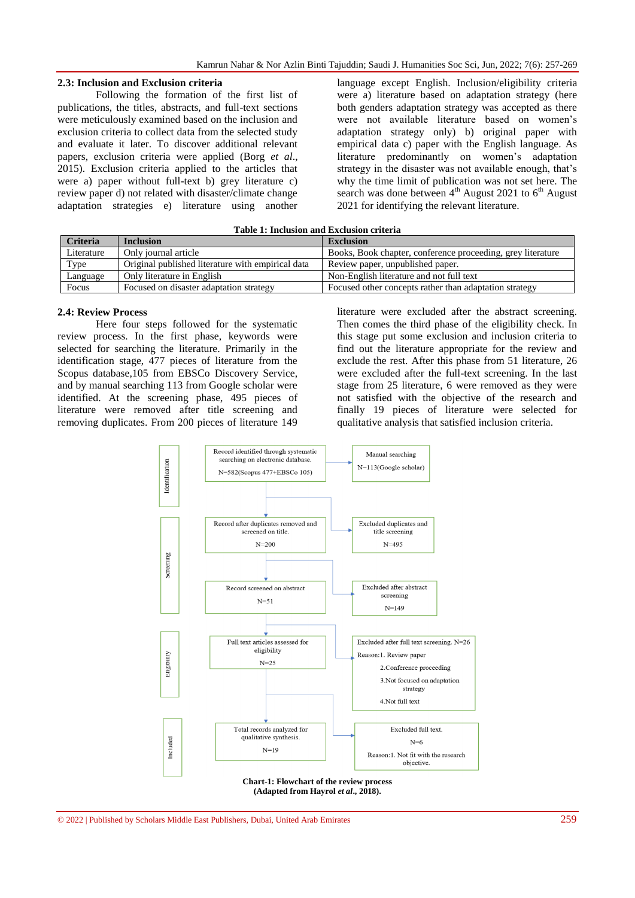#### **2.3: Inclusion and Exclusion criteria**

Following the formation of the first list of publications, the titles, abstracts, and full-text sections were meticulously examined based on the inclusion and exclusion criteria to collect data from the selected study and evaluate it later. To discover additional relevant papers, exclusion criteria were applied (Borg *et al*., 2015). Exclusion criteria applied to the articles that were a) paper without full-text b) grey literature c) review paper d) not related with disaster/climate change adaptation strategies e) literature using another

language except English. Inclusion/eligibility criteria were a) literature based on adaptation strategy (here both genders adaptation strategy was accepted as there were not available literature based on women's adaptation strategy only) b) original paper with empirical data c) paper with the English language. As literature predominantly on women's adaptation strategy in the disaster was not available enough, that's why the time limit of publication was not set here. The search was done between  $4<sup>th</sup>$  August 2021 to  $6<sup>th</sup>$  August 2021 for identifying the relevant literature.

| Table 1: Inclusion and Exclusion criteria |  |  |
|-------------------------------------------|--|--|
|-------------------------------------------|--|--|

| <b>Criteria</b> | <b>Inclusion</b>                                  | <b>Exclusion</b>                                            |
|-----------------|---------------------------------------------------|-------------------------------------------------------------|
| Literature      | Only journal article                              | Books, Book chapter, conference proceeding, grey literature |
| Type            | Original published literature with empirical data | Review paper, unpublished paper.                            |
| Language        | Only literature in English                        | Non-English literature and not full text                    |
| Focus           | Focused on disaster adaptation strategy           | Focused other concepts rather than adaptation strategy      |

#### **2.4: Review Process**

Here four steps followed for the systematic review process. In the first phase, keywords were selected for searching the literature. Primarily in the identification stage, 477 pieces of literature from the Scopus database,105 from EBSCo Discovery Service, and by manual searching 113 from Google scholar were identified. At the screening phase, 495 pieces of literature were removed after title screening and removing duplicates. From 200 pieces of literature 149

literature were excluded after the abstract screening. Then comes the third phase of the eligibility check. In this stage put some exclusion and inclusion criteria to find out the literature appropriate for the review and exclude the rest. After this phase from 51 literature, 26 were excluded after the full-text screening. In the last stage from 25 literature, 6 were removed as they were not satisfied with the objective of the research and finally 19 pieces of literature were selected for qualitative analysis that satisfied inclusion criteria.



© 2022 | Published by Scholars Middle East Publishers, Dubai, United Arab Emirates 259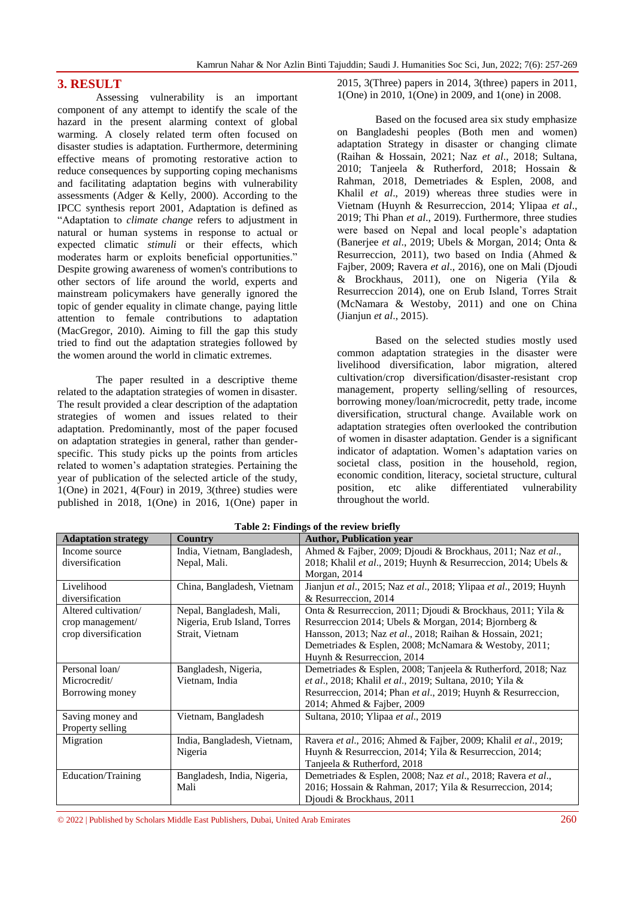### **3. RESULT**

Assessing vulnerability is an important component of any attempt to identify the scale of the hazard in the present alarming context of global warming. A closely related term often focused on disaster studies is adaptation. Furthermore, determining effective means of promoting restorative action to reduce consequences by supporting coping mechanisms and facilitating adaptation begins with vulnerability assessments (Adger & Kelly, 2000). According to the IPCC synthesis report 2001, Adaptation is defined as "Adaptation to *climate change* refers to adjustment in natural or human systems in response to actual or expected climatic *stimuli* or their effects, which moderates harm or exploits beneficial opportunities." Despite growing awareness of women's contributions to other sectors of life around the world, experts and mainstream policymakers have generally ignored the topic of gender equality in climate change, paying little attention to female contributions to adaptation (MacGregor, 2010). Aiming to fill the gap this study tried to find out the adaptation strategies followed by the women around the world in climatic extremes.

The paper resulted in a descriptive theme related to the adaptation strategies of women in disaster. The result provided a clear description of the adaptation strategies of women and issues related to their adaptation. Predominantly, most of the paper focused on adaptation strategies in general, rather than genderspecific. This study picks up the points from articles related to women's adaptation strategies. Pertaining the year of publication of the selected article of the study, 1(One) in 2021, 4(Four) in 2019, 3(three) studies were published in 2018, 1(One) in 2016, 1(One) paper in

2015, 3(Three) papers in 2014, 3(three) papers in 2011, 1(One) in 2010, 1(One) in 2009, and 1(one) in 2008.

Based on the focused area six study emphasize on Bangladeshi peoples (Both men and women) adaptation Strategy in disaster or changing climate (Raihan & Hossain, 2021; Naz *et al*., 2018; Sultana, 2010; Tanjeela & Rutherford, 2018; Hossain & Rahman, 2018, Demetriades & Esplen, 2008, and Khalil *et al.*, 2019) whereas three studies were in Vietnam (Huynh & Resurreccion, 2014; Ylipaa *et al*., 2019; Thi Phan *et al*., 2019). Furthermore, three studies were based on Nepal and local people's adaptation (Banerjee *et al*., 2019; Ubels & Morgan, 2014; Onta & Resurreccion, 2011), two based on India (Ahmed & Fajber, 2009; Ravera *et al*., 2016), one on Mali (Djoudi & Brockhaus, 2011), one on Nigeria (Yila & Resurreccion 2014), one on Erub Island, Torres Strait (McNamara & Westoby, 2011) and one on China (Jianjun *et al*., 2015).

Based on the selected studies mostly used common adaptation strategies in the disaster were livelihood diversification, labor migration, altered cultivation/crop diversification/disaster-resistant crop management, property selling/selling of resources, borrowing money/loan/microcredit, petty trade, income diversification, structural change. Available work on adaptation strategies often overlooked the contribution of women in disaster adaptation. Gender is a significant indicator of adaptation. Women's adaptation varies on societal class, position in the household, region, economic condition, literacy, societal structure, cultural position, etc alike differentiated vulnerability throughout the world.

| $\frac{1}{2}$ . Thus the $\frac{1}{2}$ of the review briting |                              |                                                                    |  |  |
|--------------------------------------------------------------|------------------------------|--------------------------------------------------------------------|--|--|
| <b>Adaptation strategy</b>                                   | Country                      | <b>Author, Publication year</b>                                    |  |  |
| Income source                                                | India, Vietnam, Bangladesh,  | Ahmed & Fajber, 2009; Djoudi & Brockhaus, 2011; Naz et al.,        |  |  |
| diversification                                              | Nepal, Mali.                 | 2018; Khalil et al., 2019; Huynh & Resurreccion, 2014; Ubels &     |  |  |
|                                                              |                              | Morgan, 2014                                                       |  |  |
| Livelihood                                                   | China, Bangladesh, Vietnam   | Jianjun et al., 2015; Naz et al., 2018; Ylipaa et al., 2019; Huynh |  |  |
| diversification                                              |                              | & Resurreccion, 2014                                               |  |  |
| Altered cultivation/                                         | Nepal, Bangladesh, Mali,     | Onta & Resurreccion, 2011; Djoudi & Brockhaus, 2011; Yila &        |  |  |
| crop management/                                             | Nigeria, Erub Island, Torres | Resurreccion 2014; Ubels & Morgan, 2014; Bjornberg &               |  |  |
| crop diversification                                         | Strait, Vietnam              | Hansson, 2013; Naz et al., 2018; Raihan & Hossain, 2021;           |  |  |
|                                                              |                              | Demetriades & Esplen, 2008; McNamara & Westoby, 2011;              |  |  |
|                                                              |                              | Huynh & Resurreccion, 2014                                         |  |  |
| Personal loan/                                               | Bangladesh, Nigeria,         | Demetriades & Esplen, 2008; Tanjeela & Rutherford, 2018; Naz       |  |  |
| Microcredit/                                                 | Vietnam, India               | et al., 2018; Khalil et al., 2019; Sultana, 2010; Yila &           |  |  |
| Borrowing money                                              |                              | Resurreccion, 2014; Phan et al., 2019; Huynh & Resurreccion,       |  |  |
|                                                              |                              | 2014; Ahmed & Fajber, 2009                                         |  |  |
| Saving money and                                             | Vietnam, Bangladesh          | Sultana, 2010; Ylipaa et al., 2019                                 |  |  |
| Property selling                                             |                              |                                                                    |  |  |
| Migration                                                    | India, Bangladesh, Vietnam,  | Ravera et al., 2016; Ahmed & Fajber, 2009; Khalil et al., 2019;    |  |  |
|                                                              | Nigeria                      | Huynh & Resurreccion, 2014; Yila & Resurreccion, 2014;             |  |  |
|                                                              |                              | Tanjeela & Rutherford, 2018                                        |  |  |
| Education/Training                                           | Bangladesh, India, Nigeria,  | Demetriades & Esplen, 2008; Naz et al., 2018; Ravera et al.,       |  |  |
|                                                              | Mali                         | 2016; Hossain & Rahman, 2017; Yila & Resurreccion, 2014;           |  |  |
|                                                              |                              | Djoudi & Brockhaus, 2011                                           |  |  |

**Table 2: Findings of the review briefly**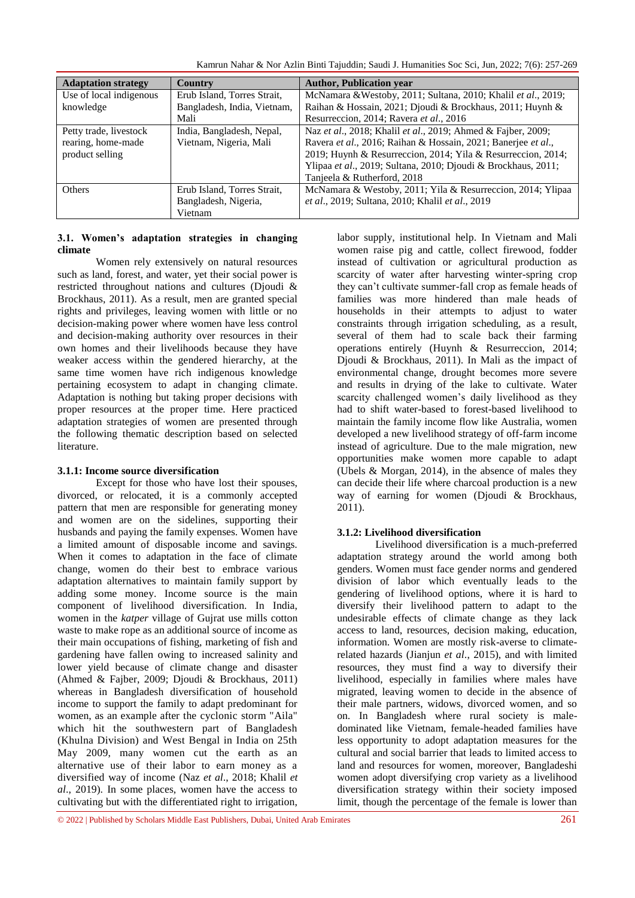Kamrun Nahar & Nor Azlin Binti Tajuddin; Saudi J. Humanities Soc Sci, Jun, 2022; 7(6): 257-269

| <b>Adaptation strategy</b> | Country                     | <b>Author, Publication year</b>                               |
|----------------------------|-----------------------------|---------------------------------------------------------------|
| Use of local indigenous    | Erub Island, Torres Strait, | McNamara & Westoby, 2011; Sultana, 2010; Khalil et al., 2019; |
| knowledge                  | Bangladesh, India, Vietnam, | Raihan & Hossain, 2021; Djoudi & Brockhaus, 2011; Huynh &     |
|                            | Mali                        | Resurreccion, 2014; Ravera et al., 2016                       |
| Petty trade, livestock     | India, Bangladesh, Nepal,   | Naz et al., 2018; Khalil et al., 2019; Ahmed & Fajber, 2009;  |
| rearing, home-made         | Vietnam, Nigeria, Mali      | Ravera et al., 2016; Raihan & Hossain, 2021; Banerjee et al., |
| product selling            |                             | 2019; Huynh & Resurreccion, 2014; Yila & Resurreccion, 2014;  |
|                            |                             | Ylipaa et al., 2019; Sultana, 2010; Djoudi & Brockhaus, 2011; |
|                            |                             | Tanjeela & Rutherford, 2018                                   |
| <b>Others</b>              | Erub Island, Torres Strait, | McNamara & Westoby, 2011; Yila & Resurreccion, 2014; Ylipaa   |
|                            | Bangladesh, Nigeria,        | et al., 2019; Sultana, 2010; Khalil et al., 2019              |
|                            | Vietnam                     |                                                               |

#### **3.1. Women's adaptation strategies in changing climate**

Women rely extensively on natural resources such as land, forest, and water, yet their social power is restricted throughout nations and cultures (Djoudi & Brockhaus, 2011). As a result, men are granted special rights and privileges, leaving women with little or no decision-making power where women have less control and decision-making authority over resources in their own homes and their livelihoods because they have weaker access within the gendered hierarchy, at the same time women have rich indigenous knowledge pertaining ecosystem to adapt in changing climate. Adaptation is nothing but taking proper decisions with proper resources at the proper time. Here practiced adaptation strategies of women are presented through the following thematic description based on selected literature.

#### **3.1.1: Income source diversification**

Except for those who have lost their spouses, divorced, or relocated, it is a commonly accepted pattern that men are responsible for generating money and women are on the sidelines, supporting their husbands and paying the family expenses. Women have a limited amount of disposable income and savings. When it comes to adaptation in the face of climate change, women do their best to embrace various adaptation alternatives to maintain family support by adding some money. Income source is the main component of livelihood diversification. In India, women in the *katper* village of Gujrat use mills cotton waste to make rope as an additional source of income as their main occupations of fishing, marketing of fish and gardening have fallen owing to increased salinity and lower yield because of climate change and disaster (Ahmed & Fajber, 2009; Djoudi & Brockhaus, 2011) whereas in Bangladesh diversification of household income to support the family to adapt predominant for women, as an example after the cyclonic storm "Aila" which hit the southwestern part of Bangladesh (Khulna Division) and West Bengal in India on 25th May 2009, many women cut the earth as an alternative use of their labor to earn money as a diversified way of income (Naz *et al*., 2018; Khalil *et al*., 2019). In some places, women have the access to cultivating but with the differentiated right to irrigation,

labor supply, institutional help. In Vietnam and Mali women raise pig and cattle, collect firewood, fodder instead of cultivation or agricultural production as scarcity of water after harvesting winter-spring crop they can't cultivate summer-fall crop as female heads of families was more hindered than male heads of households in their attempts to adjust to water constraints through irrigation scheduling, as a result, several of them had to scale back their farming operations entirely (Huynh & Resurreccion, 2014; Djoudi & Brockhaus, 2011). In Mali as the impact of environmental change, drought becomes more severe and results in drying of the lake to cultivate. Water scarcity challenged women's daily livelihood as they had to shift water-based to forest-based livelihood to maintain the family income flow like Australia, women developed a new livelihood strategy of off-farm income instead of agriculture. Due to the male migration, new opportunities make women more capable to adapt (Ubels & Morgan, 2014), in the absence of males they can decide their life where charcoal production is a new way of earning for women (Djoudi & Brockhaus,  $2011$ ).

#### **3.1.2: Livelihood diversification**

Livelihood diversification is a much-preferred adaptation strategy around the world among both genders. Women must face gender norms and gendered division of labor which eventually leads to the gendering of livelihood options, where it is hard to diversify their livelihood pattern to adapt to the undesirable effects of climate change as they lack access to land, resources, decision making, education, information. Women are mostly risk-averse to climaterelated hazards (Jianjun *et al*., 2015), and with limited resources, they must find a way to diversify their livelihood, especially in families where males have migrated, leaving women to decide in the absence of their male partners, widows, divorced women, and so on. In Bangladesh where rural society is maledominated like Vietnam, female-headed families have less opportunity to adopt adaptation measures for the cultural and social barrier that leads to limited access to land and resources for women, moreover, Bangladeshi women adopt diversifying crop variety as a livelihood diversification strategy within their society imposed limit, though the percentage of the female is lower than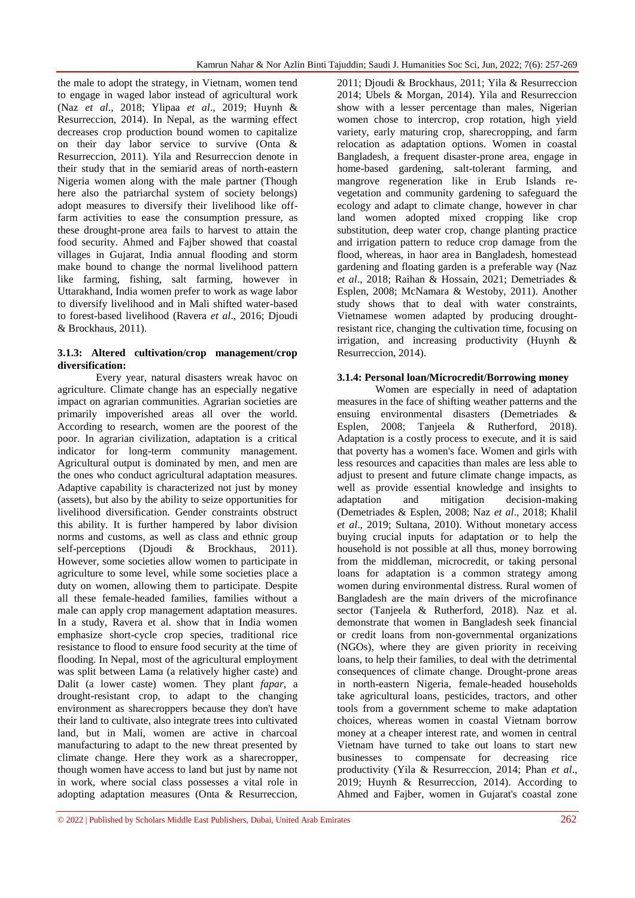the male to adopt the strategy, in Vietnam, women tend to engage in waged labor instead of agricultural work (Naz *et al*., 2018; Ylipaa *et al*., 2019; Huynh & Resurreccion, 2014). In Nepal, as the warming effect decreases crop production bound women to capitalize on their day labor service to survive (Onta & Resurreccion, 2011). Yila and Resurreccion denote in their study that in the semiarid areas of north-eastern Nigeria women along with the male partner (Though here also the patriarchal system of society belongs) adopt measures to diversify their livelihood like offfarm activities to ease the consumption pressure, as these drought-prone area fails to harvest to attain the food security. Ahmed and Fajber showed that coastal villages in Gujarat, India annual flooding and storm make bound to change the normal livelihood pattern like farming, fishing, salt farming, however in Uttarakhand, India women prefer to work as wage labor to diversify livelihood and in Mali shifted water-based to forest-based livelihood (Ravera *et al*., 2016; Djoudi & Brockhaus, 2011).

#### **3.1.3: Altered cultivation/crop management/crop diversification:**

Every year, natural disasters wreak havoc on agriculture. Climate change has an especially negative impact on agrarian communities. Agrarian societies are primarily impoverished areas all over the world. According to research, women are the poorest of the poor. In agrarian civilization, adaptation is a critical indicator for long-term community management. Agricultural output is dominated by men, and men are the ones who conduct agricultural adaptation measures. Adaptive capability is characterized not just by money (assets), but also by the ability to seize opportunities for livelihood diversification. Gender constraints obstruct this ability. It is further hampered by labor division norms and customs, as well as class and ethnic group self-perceptions (Djoudi & Brockhaus, 2011). However, some societies allow women to participate in agriculture to some level, while some societies place a duty on women, allowing them to participate. Despite all these female-headed families, families without a male can apply crop management adaptation measures. In a study, Ravera et al. show that in India women emphasize short-cycle crop species, traditional rice resistance to flood to ensure food security at the time of flooding. In Nepal, most of the agricultural employment was split between Lama (a relatively higher caste) and Dalit (a lower caste) women. They plant *fapar*, a drought-resistant crop, to adapt to the changing environment as sharecroppers because they don't have their land to cultivate, also integrate trees into cultivated land, but in Mali, women are active in charcoal manufacturing to adapt to the new threat presented by climate change. Here they work as a sharecropper, though women have access to land but just by name not in work, where social class possesses a vital role in adopting adaptation measures (Onta & Resurreccion,

2011; Djoudi & Brockhaus, 2011; Yila & Resurreccion 2014; Ubels & Morgan, 2014). Yila and Resurreccion show with a lesser percentage than males, Nigerian women chose to intercrop, crop rotation, high yield variety, early maturing crop, sharecropping, and farm relocation as adaptation options. Women in coastal Bangladesh, a frequent disaster-prone area, engage in home-based gardening, salt-tolerant farming, and mangrove regeneration like in Erub Islands revegetation and community gardening to safeguard the ecology and adapt to climate change, however in char land women adopted mixed cropping like crop substitution, deep water crop, change planting practice and irrigation pattern to reduce crop damage from the flood, whereas, in haor area in Bangladesh, homestead gardening and floating garden is a preferable way (Naz *et al*., 2018; Raihan & Hossain, 2021; Demetriades & Esplen, 2008; McNamara & Westoby, 2011). Another study shows that to deal with water constraints, Vietnamese women adapted by producing droughtresistant rice, changing the cultivation time, focusing on irrigation, and increasing productivity (Huynh & Resurreccion, 2014).

#### **3.1.4: Personal loan/Microcredit/Borrowing money**

Women are especially in need of adaptation measures in the face of shifting weather patterns and the ensuing environmental disasters (Demetriades & Esplen, 2008; Tanjeela & Rutherford, 2018). Adaptation is a costly process to execute, and it is said that poverty has a women's face. Women and girls with less resources and capacities than males are less able to adjust to present and future climate change impacts, as well as provide essential knowledge and insights to adaptation and mitigation decision-making (Demetriades & Esplen, 2008; Naz *et al*., 2018; Khalil *et al*., 2019; Sultana, 2010). Without monetary access buying crucial inputs for adaptation or to help the household is not possible at all thus, money borrowing from the middleman, microcredit, or taking personal loans for adaptation is a common strategy among women during environmental distress. Rural women of Bangladesh are the main drivers of the microfinance sector (Tanjeela & Rutherford, 2018). Naz et al. demonstrate that women in Bangladesh seek financial or credit loans from non-governmental organizations (NGOs), where they are given priority in receiving loans, to help their families, to deal with the detrimental consequences of climate change. Drought-prone areas in north-eastern Nigeria, female-headed households take agricultural loans, pesticides, tractors, and other tools from a government scheme to make adaptation choices, whereas women in coastal Vietnam borrow money at a cheaper interest rate, and women in central Vietnam have turned to take out loans to start new businesses to compensate for decreasing rice productivity (Yila & Resurreccion, 2014; Phan *et al*., 2019; Huynh & Resurreccion, 2014). According to Ahmed and Fajber, women in Gujarat's coastal zone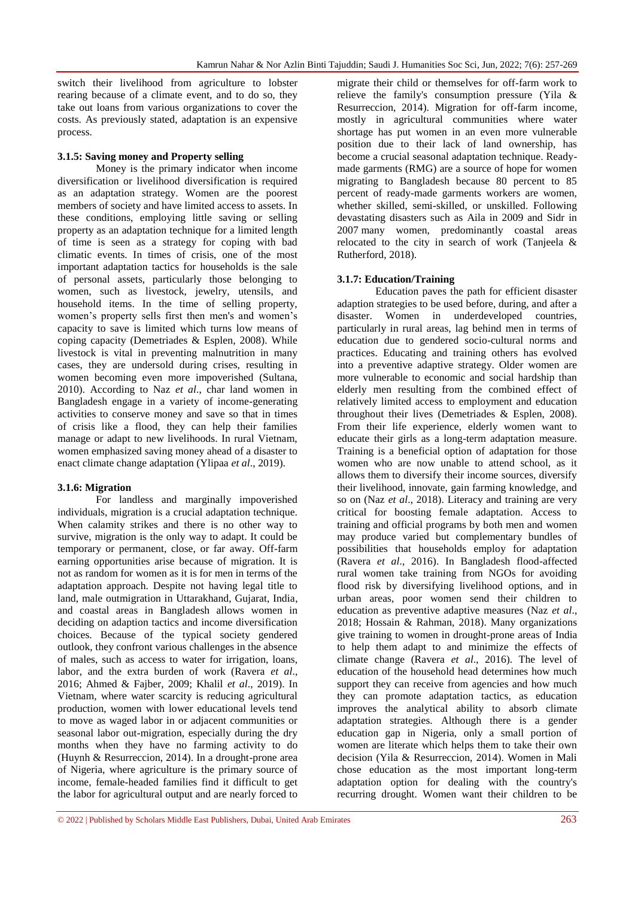switch their livelihood from agriculture to lobster rearing because of a climate event, and to do so, they take out loans from various organizations to cover the costs. As previously stated, adaptation is an expensive process.

#### **3.1.5: Saving money and Property selling**

Money is the primary indicator when income diversification or livelihood diversification is required as an adaptation strategy. Women are the poorest members of society and have limited access to assets. In these conditions, employing little saving or selling property as an adaptation technique for a limited length of time is seen as a strategy for coping with bad climatic events. In times of crisis, one of the most important adaptation tactics for households is the sale of personal assets, particularly those belonging to women, such as livestock, jewelry, utensils, and household items. In the time of selling property, women's property sells first then men's and women's capacity to save is limited which turns low means of coping capacity (Demetriades & Esplen, 2008). While livestock is vital in preventing malnutrition in many cases, they are undersold during crises, resulting in women becoming even more impoverished (Sultana, 2010). According to Naz *et al*., char land women in Bangladesh engage in a variety of income-generating activities to conserve money and save so that in times of crisis like a flood, they can help their families manage or adapt to new livelihoods. In rural Vietnam, women emphasized saving money ahead of a disaster to enact climate change adaptation (Ylipaa *et al*., 2019).

#### **3.1.6: Migration**

For landless and marginally impoverished individuals, migration is a crucial adaptation technique. When calamity strikes and there is no other way to survive, migration is the only way to adapt. It could be temporary or permanent, close, or far away. Off-farm earning opportunities arise because of migration. It is not as random for women as it is for men in terms of the adaptation approach. Despite not having legal title to land, male outmigration in Uttarakhand, Gujarat, India, and coastal areas in Bangladesh allows women in deciding on adaption tactics and income diversification choices. Because of the typical society gendered outlook, they confront various challenges in the absence of males, such as access to water for irrigation, loans, labor, and the extra burden of work (Ravera *et al*., 2016; Ahmed & Fajber, 2009; Khalil *et al*., 2019). In Vietnam, where water scarcity is reducing agricultural production, women with lower educational levels tend to move as waged labor in or adjacent communities or seasonal labor out-migration, especially during the dry months when they have no farming activity to do (Huynh & Resurreccion, 2014). In a drought-prone area of Nigeria, where agriculture is the primary source of income, female-headed families find it difficult to get the labor for agricultural output and are nearly forced to

migrate their child or themselves for off-farm work to relieve the family's consumption pressure (Yila & Resurreccion, 2014). Migration for off-farm income, mostly in agricultural communities where water shortage has put women in an even more vulnerable position due to their lack of land ownership, has become a crucial seasonal adaptation technique. Readymade garments (RMG) are a source of hope for women migrating to Bangladesh because 80 percent to 85 percent of ready-made garments workers are women, whether skilled, semi-skilled, or unskilled. Following devastating disasters such as Aila in 2009 and Sidr in 2007 many women, predominantly coastal areas relocated to the city in search of work (Tanjeela & Rutherford, 2018).

#### **3.1.7: Education/Training**

Education paves the path for efficient disaster adaption strategies to be used before, during, and after a disaster. Women in underdeveloped countries, particularly in rural areas, lag behind men in terms of education due to gendered socio-cultural norms and practices. Educating and training others has evolved into a preventive adaptive strategy. Older women are more vulnerable to economic and social hardship than elderly men resulting from the combined effect of relatively limited access to employment and education throughout their lives (Demetriades & Esplen, 2008). From their life experience, elderly women want to educate their girls as a long-term adaptation measure. Training is a beneficial option of adaptation for those women who are now unable to attend school, as it allows them to diversify their income sources, diversify their livelihood, innovate, gain farming knowledge, and so on (Naz *et al*., 2018). Literacy and training are very critical for boosting female adaptation. Access to training and official programs by both men and women may produce varied but complementary bundles of possibilities that households employ for adaptation (Ravera *et al*., 2016). In Bangladesh flood-affected rural women take training from NGOs for avoiding flood risk by diversifying livelihood options, and in urban areas, poor women send their children to education as preventive adaptive measures (Naz *et al*., 2018; Hossain & Rahman, 2018). Many organizations give training to women in drought-prone areas of India to help them adapt to and minimize the effects of climate change (Ravera *et al*., 2016). The level of education of the household head determines how much support they can receive from agencies and how much they can promote adaptation tactics, as education improves the analytical ability to absorb climate adaptation strategies. Although there is a gender education gap in Nigeria, only a small portion of women are literate which helps them to take their own decision (Yila & Resurreccion, 2014). Women in Mali chose education as the most important long-term adaptation option for dealing with the country's recurring drought. Women want their children to be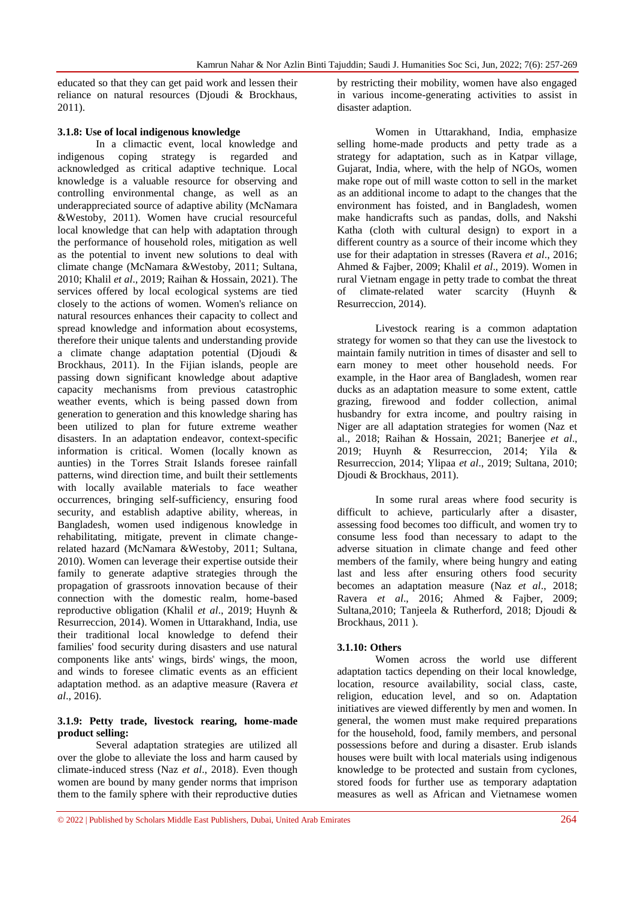educated so that they can get paid work and lessen their reliance on natural resources (Djoudi & Brockhaus, 2011).

#### **3.1.8: Use of local indigenous knowledge**

In a climactic event, local knowledge and indigenous coping strategy is regarded and acknowledged as critical adaptive technique. Local knowledge is a valuable resource for observing and controlling environmental change, as well as an underappreciated source of adaptive ability (McNamara &Westoby, 2011). Women have crucial resourceful local knowledge that can help with adaptation through the performance of household roles, mitigation as well as the potential to invent new solutions to deal with climate change (McNamara &Westoby, 2011; Sultana, 2010; Khalil *et al*., 2019; Raihan & Hossain, 2021). The services offered by local ecological systems are tied closely to the actions of women. Women's reliance on natural resources enhances their capacity to collect and spread knowledge and information about ecosystems, therefore their unique talents and understanding provide a climate change adaptation potential (Djoudi & Brockhaus, 2011). In the Fijian islands, people are passing down significant knowledge about adaptive capacity mechanisms from previous catastrophic weather events, which is being passed down from generation to generation and this knowledge sharing has been utilized to plan for future extreme weather disasters. In an adaptation endeavor, context-specific information is critical. Women (locally known as aunties) in the Torres Strait Islands foresee rainfall patterns, wind direction time, and built their settlements with locally available materials to face weather occurrences, bringing self-sufficiency, ensuring food security, and establish adaptive ability, whereas, in Bangladesh, women used indigenous knowledge in rehabilitating, mitigate, prevent in climate changerelated hazard (McNamara &Westoby, 2011; Sultana, 2010). Women can leverage their expertise outside their family to generate adaptive strategies through the propagation of grassroots innovation because of their connection with the domestic realm, home-based reproductive obligation (Khalil *et al*., 2019; Huynh & Resurreccion, 2014). Women in Uttarakhand, India, use their traditional local knowledge to defend their families' food security during disasters and use natural components like ants' wings, birds' wings, the moon, and winds to foresee climatic events as an efficient adaptation method. as an adaptive measure (Ravera *et al*., 2016).

#### **3.1.9: Petty trade, livestock rearing, home-made product selling:**

Several adaptation strategies are utilized all over the globe to alleviate the loss and harm caused by climate-induced stress (Naz *et al*., 2018). Even though women are bound by many gender norms that imprison them to the family sphere with their reproductive duties

by restricting their mobility, women have also engaged in various income-generating activities to assist in disaster adaption.

Women in Uttarakhand, India, emphasize selling home-made products and petty trade as a strategy for adaptation, such as in Katpar village, Gujarat, India, where, with the help of NGOs, women make rope out of mill waste cotton to sell in the market as an additional income to adapt to the changes that the environment has foisted, and in Bangladesh, women make handicrafts such as pandas, dolls, and Nakshi Katha (cloth with cultural design) to export in a different country as a source of their income which they use for their adaptation in stresses (Ravera *et al*., 2016; Ahmed & Fajber, 2009; Khalil *et al*., 2019). Women in rural Vietnam engage in petty trade to combat the threat of climate-related water scarcity (Huynh & Resurreccion, 2014).

Livestock rearing is a common adaptation strategy for women so that they can use the livestock to maintain family nutrition in times of disaster and sell to earn money to meet other household needs. For example, in the Haor area of Bangladesh, women rear ducks as an adaptation measure to some extent, cattle grazing, firewood and fodder collection, animal husbandry for extra income, and poultry raising in Niger are all adaptation strategies for women (Naz et al., 2018; Raihan & Hossain, 2021; Banerjee *et al*., 2019; Huynh & Resurreccion, 2014; Yila & Resurreccion, 2014; Ylipaa *et al*., 2019; Sultana, 2010; Djoudi & Brockhaus, 2011).

In some rural areas where food security is difficult to achieve, particularly after a disaster, assessing food becomes too difficult, and women try to consume less food than necessary to adapt to the adverse situation in climate change and feed other members of the family, where being hungry and eating last and less after ensuring others food security becomes an adaptation measure (Naz *et al*., 2018; Ravera *et al*., 2016; Ahmed & Fajber, 2009; Sultana,2010; Tanjeela & Rutherford, 2018; Djoudi & Brockhaus, 2011 ).

#### **3.1.10: Others**

Women across the world use different adaptation tactics depending on their local knowledge, location, resource availability, social class, caste, religion, education level, and so on. Adaptation initiatives are viewed differently by men and women. In general, the women must make required preparations for the household, food, family members, and personal possessions before and during a disaster. Erub islands houses were built with local materials using indigenous knowledge to be protected and sustain from cyclones, stored foods for further use as temporary adaptation measures as well as African and Vietnamese women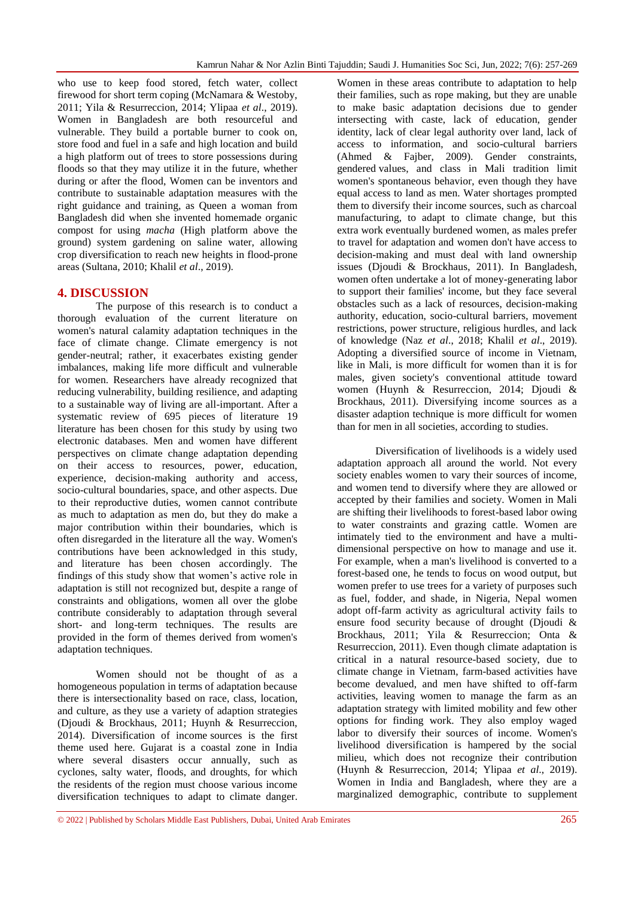who use to keep food stored, fetch water, collect firewood for short term coping (McNamara & Westoby, 2011; Yila & Resurreccion, 2014; Ylipaa *et al*., 2019). Women in Bangladesh are both resourceful and vulnerable. They build a portable burner to cook on, store food and fuel in a safe and high location and build a high platform out of trees to store possessions during floods so that they may utilize it in the future, whether during or after the flood, Women can be inventors and contribute to sustainable adaptation measures with the right guidance and training, as Queen a woman from Bangladesh did when she invented homemade organic compost for using *macha* (High platform above the ground) system gardening on saline water, allowing crop diversification to reach new heights in flood-prone areas (Sultana, 2010; Khalil *et al*., 2019).

#### **4. DISCUSSION**

The purpose of this research is to conduct a thorough evaluation of the current literature on women's natural calamity adaptation techniques in the face of climate change. Climate emergency is not gender-neutral; rather, it exacerbates existing gender imbalances, making life more difficult and vulnerable for women. Researchers have already recognized that reducing vulnerability, building resilience, and adapting to a sustainable way of living are all-important. After a systematic review of 695 pieces of literature 19 literature has been chosen for this study by using two electronic databases. Men and women have different perspectives on climate change adaptation depending on their access to resources, power, education, experience, decision-making authority and access, socio-cultural boundaries, space, and other aspects. Due to their reproductive duties, women cannot contribute as much to adaptation as men do, but they do make a major contribution within their boundaries, which is often disregarded in the literature all the way. Women's contributions have been acknowledged in this study, and literature has been chosen accordingly. The findings of this study show that women's active role in adaptation is still not recognized but, despite a range of constraints and obligations, women all over the globe contribute considerably to adaptation through several short- and long-term techniques. The results are provided in the form of themes derived from women's adaptation techniques.

Women should not be thought of as a homogeneous population in terms of adaptation because there is intersectionality based on race, class, location, and culture, as they use a variety of adaption strategies (Djoudi & Brockhaus, 2011; Huynh & Resurreccion, 2014). Diversification of income sources is the first theme used here. Gujarat is a coastal zone in India where several disasters occur annually, such as cyclones, salty water, floods, and droughts, for which the residents of the region must choose various income diversification techniques to adapt to climate danger.

Women in these areas contribute to adaptation to help their families, such as rope making, but they are unable to make basic adaptation decisions due to gender intersecting with caste, lack of education, gender identity, lack of clear legal authority over land, lack of access to information, and socio-cultural barriers (Ahmed & Fajber, 2009). Gender constraints, gendered values, and class in Mali tradition limit women's spontaneous behavior, even though they have equal access to land as men. Water shortages prompted them to diversify their income sources, such as charcoal manufacturing, to adapt to climate change, but this extra work eventually burdened women, as males prefer to travel for adaptation and women don't have access to decision-making and must deal with land ownership issues (Djoudi & Brockhaus, 2011). In Bangladesh, women often undertake a lot of money-generating labor to support their families' income, but they face several obstacles such as a lack of resources, decision-making authority, education, socio-cultural barriers, movement restrictions, power structure, religious hurdles, and lack of knowledge (Naz *et al*., 2018; Khalil *et al*., 2019). Adopting a diversified source of income in Vietnam, like in Mali, is more difficult for women than it is for males, given society's conventional attitude toward women (Huynh & Resurreccion, 2014; Djoudi & Brockhaus, 2011). Diversifying income sources as a disaster adaption technique is more difficult for women than for men in all societies, according to studies.

Diversification of livelihoods is a widely used adaptation approach all around the world. Not every society enables women to vary their sources of income, and women tend to diversify where they are allowed or accepted by their families and society. Women in Mali are shifting their livelihoods to forest-based labor owing to water constraints and grazing cattle. Women are intimately tied to the environment and have a multidimensional perspective on how to manage and use it. For example, when a man's livelihood is converted to a forest-based one, he tends to focus on wood output, but women prefer to use trees for a variety of purposes such as fuel, fodder, and shade, in Nigeria, Nepal women adopt off-farm activity as agricultural activity fails to ensure food security because of drought (Djoudi & Brockhaus, 2011; Yila & Resurreccion; Onta & Resurreccion, 2011). Even though climate adaptation is critical in a natural resource-based society, due to climate change in Vietnam, farm-based activities have become devalued, and men have shifted to off-farm activities, leaving women to manage the farm as an adaptation strategy with limited mobility and few other options for finding work. They also employ waged labor to diversify their sources of income. Women's livelihood diversification is hampered by the social milieu, which does not recognize their contribution (Huynh & Resurreccion, 2014; Ylipaa *et al*., 2019). Women in India and Bangladesh, where they are a marginalized demographic, contribute to supplement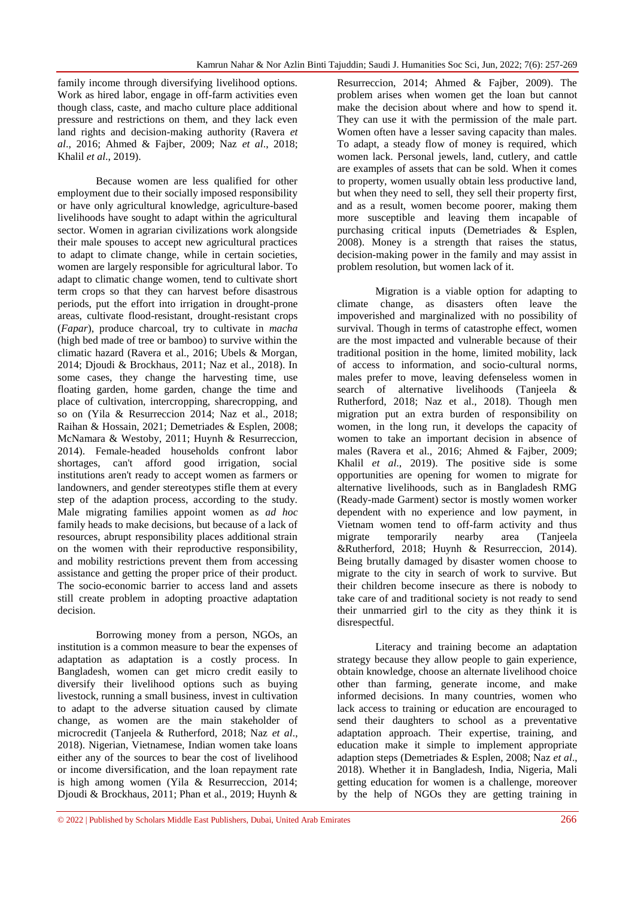family income through diversifying livelihood options. Work as hired labor, engage in off-farm activities even though class, caste, and macho culture place additional pressure and restrictions on them, and they lack even land rights and decision-making authority (Ravera *et al*., 2016; Ahmed & Fajber, 2009; Naz *et al*., 2018; Khalil *et al*., 2019).

Because women are less qualified for other employment due to their socially imposed responsibility or have only agricultural knowledge, agriculture-based livelihoods have sought to adapt within the agricultural sector. Women in agrarian civilizations work alongside their male spouses to accept new agricultural practices to adapt to climate change, while in certain societies, women are largely responsible for agricultural labor. To adapt to climatic change women, tend to cultivate short term crops so that they can harvest before disastrous periods, put the effort into irrigation in drought-prone areas, cultivate flood-resistant, drought-resistant crops (*Fapar*), produce charcoal, try to cultivate in *macha* (high bed made of tree or bamboo) to survive within the climatic hazard (Ravera et al., 2016; Ubels & Morgan, 2014; Djoudi & Brockhaus, 2011; Naz et al., 2018). In some cases, they change the harvesting time, use floating garden, home garden, change the time and place of cultivation, intercropping, sharecropping, and so on (Yila & Resurreccion 2014; Naz et al., 2018; Raihan & Hossain, 2021; Demetriades & Esplen, 2008; McNamara & Westoby, 2011; Huynh & Resurreccion, 2014). Female-headed households confront labor shortages, can't afford good irrigation, social institutions aren't ready to accept women as farmers or landowners, and gender stereotypes stifle them at every step of the adaption process, according to the study. Male migrating families appoint women as *ad hoc* family heads to make decisions, but because of a lack of resources, abrupt responsibility places additional strain on the women with their reproductive responsibility, and mobility restrictions prevent them from accessing assistance and getting the proper price of their product. The socio-economic barrier to access land and assets still create problem in adopting proactive adaptation decision.

Borrowing money from a person, NGOs, an institution is a common measure to bear the expenses of adaptation as adaptation is a costly process. In Bangladesh, women can get micro credit easily to diversify their livelihood options such as buying livestock, running a small business, invest in cultivation to adapt to the adverse situation caused by climate change, as women are the main stakeholder of microcredit (Tanjeela & Rutherford, 2018; Naz *et al*., 2018). Nigerian, Vietnamese, Indian women take loans either any of the sources to bear the cost of livelihood or income diversification, and the loan repayment rate is high among women (Yila & Resurreccion, 2014; Djoudi & Brockhaus, 2011; Phan et al., 2019; Huynh &

Resurreccion, 2014; Ahmed & Fajber, 2009). The problem arises when women get the loan but cannot make the decision about where and how to spend it. They can use it with the permission of the male part. Women often have a lesser saving capacity than males. To adapt, a steady flow of money is required, which women lack. Personal jewels, land, cutlery, and cattle are examples of assets that can be sold. When it comes to property, women usually obtain less productive land, but when they need to sell, they sell their property first, and as a result, women become poorer, making them more susceptible and leaving them incapable of purchasing critical inputs (Demetriades & Esplen, 2008). Money is a strength that raises the status, decision-making power in the family and may assist in problem resolution, but women lack of it.

Migration is a viable option for adapting to climate change, as disasters often leave the impoverished and marginalized with no possibility of survival. Though in terms of catastrophe effect, women are the most impacted and vulnerable because of their traditional position in the home, limited mobility, lack of access to information, and socio-cultural norms, males prefer to move, leaving defenseless women in search of alternative livelihoods (Tanjeela & Rutherford, 2018; Naz et al., 2018). Though men migration put an extra burden of responsibility on women, in the long run, it develops the capacity of women to take an important decision in absence of males (Ravera et al., 2016; Ahmed & Fajber, 2009; Khalil *et al*., 2019). The positive side is some opportunities are opening for women to migrate for alternative livelihoods, such as in Bangladesh RMG (Ready-made Garment) sector is mostly women worker dependent with no experience and low payment, in Vietnam women tend to off-farm activity and thus migrate temporarily nearby area (Tanjeela &Rutherford, 2018; Huynh & Resurreccion, 2014). Being brutally damaged by disaster women choose to migrate to the city in search of work to survive. But their children become insecure as there is nobody to take care of and traditional society is not ready to send their unmarried girl to the city as they think it is disrespectful.

Literacy and training become an adaptation strategy because they allow people to gain experience, obtain knowledge, choose an alternate livelihood choice other than farming, generate income, and make informed decisions. In many countries, women who lack access to training or education are encouraged to send their daughters to school as a preventative adaptation approach. Their expertise, training, and education make it simple to implement appropriate adaption steps (Demetriades & Esplen, 2008; Naz *et al*., 2018). Whether it in Bangladesh, India, Nigeria, Mali getting education for women is a challenge, moreover by the help of NGOs they are getting training in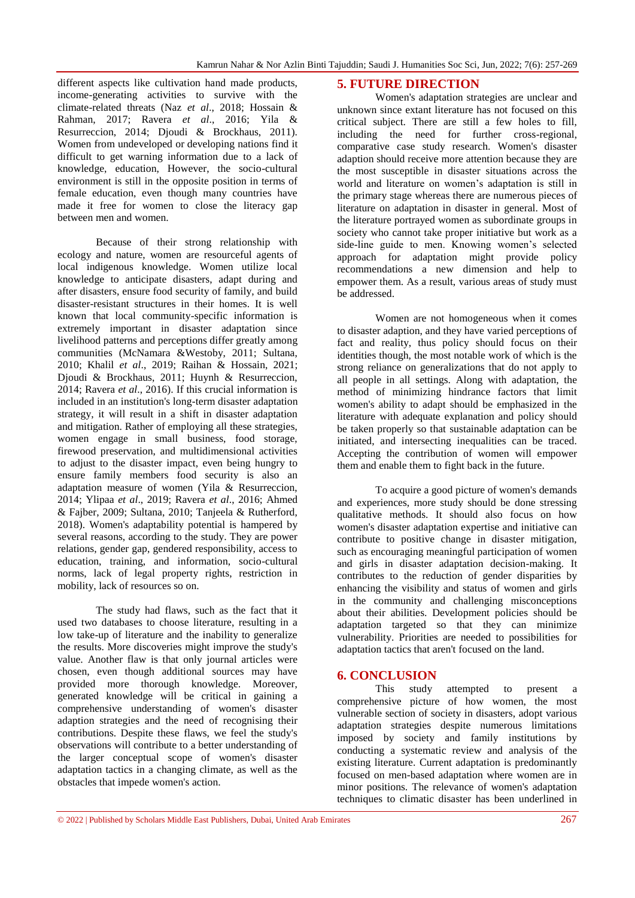different aspects like cultivation hand made products, income-generating activities to survive with the climate-related threats (Naz *et al*., 2018; Hossain & Rahman, 2017; Ravera *et al*., 2016; Yila & Resurreccion, 2014; Djoudi & Brockhaus, 2011). Women from undeveloped or developing nations find it difficult to get warning information due to a lack of knowledge, education, However, the socio-cultural environment is still in the opposite position in terms of female education, even though many countries have made it free for women to close the literacy gap between men and women.

Because of their strong relationship with ecology and nature, women are resourceful agents of local indigenous knowledge. Women utilize local knowledge to anticipate disasters, adapt during and after disasters, ensure food security of family, and build disaster-resistant structures in their homes. It is well known that local community-specific information is extremely important in disaster adaptation since livelihood patterns and perceptions differ greatly among communities (McNamara &Westoby, 2011; Sultana, 2010; Khalil *et al*., 2019; Raihan & Hossain, 2021; Djoudi & Brockhaus, 2011; Huynh & Resurreccion, 2014; Ravera *et al*., 2016). If this crucial information is included in an institution's long-term disaster adaptation strategy, it will result in a shift in disaster adaptation and mitigation. Rather of employing all these strategies, women engage in small business, food storage, firewood preservation, and multidimensional activities to adjust to the disaster impact, even being hungry to ensure family members food security is also an adaptation measure of women (Yila & Resurreccion, 2014; Ylipaa *et al*., 2019; Ravera *et al*., 2016; Ahmed & Fajber, 2009; Sultana, 2010; Tanjeela & Rutherford, 2018). Women's adaptability potential is hampered by several reasons, according to the study. They are power relations, gender gap, gendered responsibility, access to education, training, and information, socio-cultural norms, lack of legal property rights, restriction in mobility, lack of resources so on.

The study had flaws, such as the fact that it used two databases to choose literature, resulting in a low take-up of literature and the inability to generalize the results. More discoveries might improve the study's value. Another flaw is that only journal articles were chosen, even though additional sources may have provided more thorough knowledge. Moreover, generated knowledge will be critical in gaining a comprehensive understanding of women's disaster adaption strategies and the need of recognising their contributions. Despite these flaws, we feel the study's observations will contribute to a better understanding of the larger conceptual scope of women's disaster adaptation tactics in a changing climate, as well as the obstacles that impede women's action.

#### **5. FUTURE DIRECTION**

Women's adaptation strategies are unclear and unknown since extant literature has not focused on this critical subject. There are still a few holes to fill, including the need for further cross-regional, comparative case study research. Women's disaster adaption should receive more attention because they are the most susceptible in disaster situations across the world and literature on women's adaptation is still in the primary stage whereas there are numerous pieces of literature on adaptation in disaster in general. Most of the literature portrayed women as subordinate groups in society who cannot take proper initiative but work as a side-line guide to men. Knowing women's selected approach for adaptation might provide policy recommendations a new dimension and help to empower them. As a result, various areas of study must be addressed.

Women are not homogeneous when it comes to disaster adaption, and they have varied perceptions of fact and reality, thus policy should focus on their identities though, the most notable work of which is the strong reliance on generalizations that do not apply to all people in all settings. Along with adaptation, the method of minimizing hindrance factors that limit women's ability to adapt should be emphasized in the literature with adequate explanation and policy should be taken properly so that sustainable adaptation can be initiated, and intersecting inequalities can be traced. Accepting the contribution of women will empower them and enable them to fight back in the future.

To acquire a good picture of women's demands and experiences, more study should be done stressing qualitative methods. It should also focus on how women's disaster adaptation expertise and initiative can contribute to positive change in disaster mitigation, such as encouraging meaningful participation of women and girls in disaster adaptation decision-making. It contributes to the reduction of gender disparities by enhancing the visibility and status of women and girls in the community and challenging misconceptions about their abilities. Development policies should be adaptation targeted so that they can minimize vulnerability. Priorities are needed to possibilities for adaptation tactics that aren't focused on the land.

#### **6. CONCLUSION**

This study attempted to present a comprehensive picture of how women, the most vulnerable section of society in disasters, adopt various adaptation strategies despite numerous limitations imposed by society and family institutions by conducting a systematic review and analysis of the existing literature. Current adaptation is predominantly focused on men-based adaptation where women are in minor positions. The relevance of women's adaptation techniques to climatic disaster has been underlined in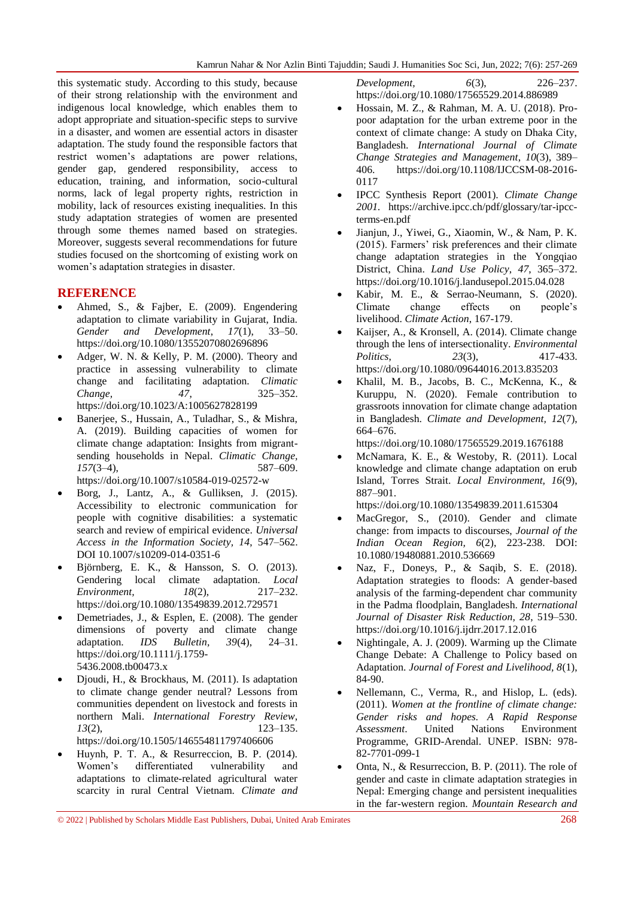this systematic study. According to this study, because of their strong relationship with the environment and indigenous local knowledge, which enables them to adopt appropriate and situation-specific steps to survive in a disaster, and women are essential actors in disaster adaptation. The study found the responsible factors that restrict women's adaptations are power relations, gender gap, gendered responsibility, access to education, training, and information, socio-cultural norms, lack of legal property rights, restriction in mobility, lack of resources existing inequalities. In this study adaptation strategies of women are presented through some themes named based on strategies. Moreover, suggests several recommendations for future studies focused on the shortcoming of existing work on women's adaptation strategies in disaster.

## **REFERENCE**

- Ahmed, S., & Fajber, E. (2009). Engendering adaptation to climate variability in Gujarat, India. *Gender and Development*, *17*(1), 33–50. <https://doi.org/10.1080/13552070802696896>
- Adger, W. N. & Kelly, P. M. (2000). Theory and practice in assessing vulnerability to climate change and facilitating adaptation. *Climatic Change, 47*, 325–352. https://doi.org/10.1023/A:1005627828199
- Banerjee, S., Hussain, A., Tuladhar, S., & Mishra, A. (2019). Building capacities of women for climate change adaptation: Insights from migrantsending households in Nepal. *Climatic Change, 157*(3–4), 587–609. <https://doi.org/10.1007/s10584-019-02572-w>

- Borg, J., Lantz, A., & Gulliksen, J. (2015). Accessibility to electronic communication for people with cognitive disabilities: a systematic search and review of empirical evidence. *[Universal](https://link.springer.com/journal/10209)  [Access in the Information Society](https://link.springer.com/journal/10209), 14*, 547–562. DOI 10.1007/s10209-014-0351-6
- Björnberg, E. K., & Hansson, S. O. (2013). Gendering local climate adaptation. *Local Environment, 18*(2), 217–232. <https://doi.org/10.1080/13549839.2012.729571>
- Demetriades, J., & Esplen, E. (2008). The gender dimensions of poverty and climate change adaptation. *IDS Bulletin, 39*(4), 24–31. [https://doi.org/10.1111/j.1759-](https://doi.org/10.1111/j.1759-5436.2008.tb00473.x) [5436.2008.tb00473.x](https://doi.org/10.1111/j.1759-5436.2008.tb00473.x)
- Djoudi, H., & Brockhaus, M. (2011). Is adaptation to climate change gender neutral? Lessons from communities dependent on livestock and forests in northern Mali. *International Forestry Review*, *13*(2), 123–135. <https://doi.org/10.1505/146554811797406606>
- Huynh, P. T. A., & Resurreccion, B. P. (2014). Women's differentiated vulnerability and adaptations to climate-related agricultural water scarcity in rural Central Vietnam. *Climate and*

*Development, 6*(3), 226–237. <https://doi.org/10.1080/17565529.2014.886989>

- Hossain, M. Z., & Rahman, M. A. U. (2018). Propoor adaptation for the urban extreme poor in the context of climate change: A study on Dhaka City, Bangladesh. *International Journal of Climate Change Strategies and Management*, *10*(3), 389– 406. [https://doi.org/10.1108/IJCCSM-08-2016-](https://doi.org/10.1108/IJCCSM-08-2016-0117) [0117](https://doi.org/10.1108/IJCCSM-08-2016-0117)
- IPCC Synthesis Report (2001). *Climate Change 2001.* https://archive.ipcc.ch/pdf/glossary/tar-ipccterms-en.pdf
- Jianjun, J., Yiwei, G., Xiaomin, W., & Nam, P. K. (2015). Farmers' risk preferences and their climate change adaptation strategies in the Yongqiao District, China. *Land Use Policy*, *47*, 365–372. <https://doi.org/10.1016/j.landusepol.2015.04.028>
- Kabir, M. E., & Serrao-Neumann, S. (2020). Climate change effects on people's livelihood. *Climate Action*, 167-179.
- Kaijser, A., & Kronsell, A. (2014). Climate change through the lens of intersectionality. *Environmental Politics*, *23*(3), 417-433. <https://doi.org/10.1080/09644016.2013.835203>
- Khalil, M. B., Jacobs, B. C., McKenna, K., & Kuruppu, N. (2020). Female contribution to grassroots innovation for climate change adaptation in Bangladesh. *Climate and Development, 12*(7), 664–676.

<https://doi.org/10.1080/17565529.2019.1676188>

 McNamara, K. E., & Westoby, R. (2011). Local knowledge and climate change adaptation on erub Island, Torres Strait. *Local Environment, 16*(9), 887–901.

<https://doi.org/10.1080/13549839.2011.615304>

- MacGregor, S., (2010). Gender and climate change: from impacts to discourses, *Journal of the Indian Ocean Region, 6*(2), 223-238. DOI: 10.1080/19480881.2010.536669
- Naz, F., Doneys, P., & Saqib, S. E. (2018). Adaptation strategies to floods: A gender-based analysis of the farming-dependent char community in the Padma floodplain, Bangladesh. *International Journal of Disaster Risk Reduction, 28*, 519–530. <https://doi.org/10.1016/j.ijdrr.2017.12.016>
- Nightingale, A. J. (2009). Warming up the Climate Change Debate: A Challenge to Policy based on Adaptation. *Journal of Forest and Livelihood, 8*(1), 84-90.
- Nellemann, C., Verma, R., and Hislop, L. (eds). (2011). *Women at the frontline of climate change: Gender risks and hopes. A Rapid Response Assessment*. United Nations Environment Programme, GRID-Arendal. UNEP. ISBN: 978- 82-7701-099-1
- Onta, N., & Resurreccion, B. P. (2011). The role of gender and caste in climate adaptation strategies in Nepal: Emerging change and persistent inequalities in the far-western region. *Mountain Research and*

<sup>© 2022</sup> | Published by Scholars Middle East Publishers, Dubai, United Arab Emirates 268